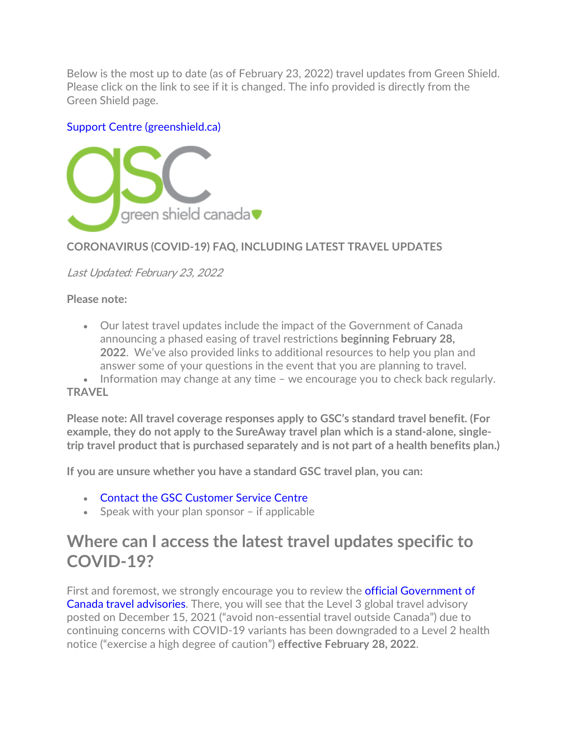Below is the most up to date (as of February 23, 2022) travel updates from Green Shield. Please click on the link to see if it is changed. The info provided is directly from the Green Shield page.

#### [Support Centre \(greenshield.ca\)](https://support.greenshield.ca/SupportCentre/GreenShield/Home/DocumentsForSearch)



### **CORONAVIRUS (COVID-19) FAQ, INCLUDING LATEST TRAVEL UPDATES**

Last Updated: February 23, 2022

**Please note:**

• Our latest travel updates include the impact of the Government of Canada announcing a phased easing of travel restrictions **beginning February 28, 2022**. We've also provided links to additional resources to help you plan and answer some of your questions in the event that you are planning to travel.

• Information may change at any time – we encourage you to check back regularly. **TRAVEL**

**Please note: All travel coverage responses apply to GSC's standard travel benefit. (For example, they do not apply to the SureAway travel plan which is a stand-alone, singletrip travel product that is purchased separately and is not part of a health benefits plan.)**

**If you are unsure whether you have a standard GSC travel plan, you can:**

- [Contact the GSC Customer Service Centre](https://onlineservices.greenshield.ca/CLICOnlineServices/Inquiry/UserInquiry.aspx?inquiry=1&lang=en-CA)
- Speak with your plan sponsor if applicable

### **Where can I access the latest travel updates specific to COVID-19?**

First and foremost, we strongly encourage you to review the **official Government of** [Canada travel advisories.](https://travel.gc.ca/travelling/advisories) There, you will see that the Level 3 global travel advisory posted on December 15, 2021 ("avoid non-essential travel outside Canada") due to continuing concerns with COVID-19 variants has been downgraded to a Level 2 health notice ("exercise a high degree of caution") **effective February 28, 2022**.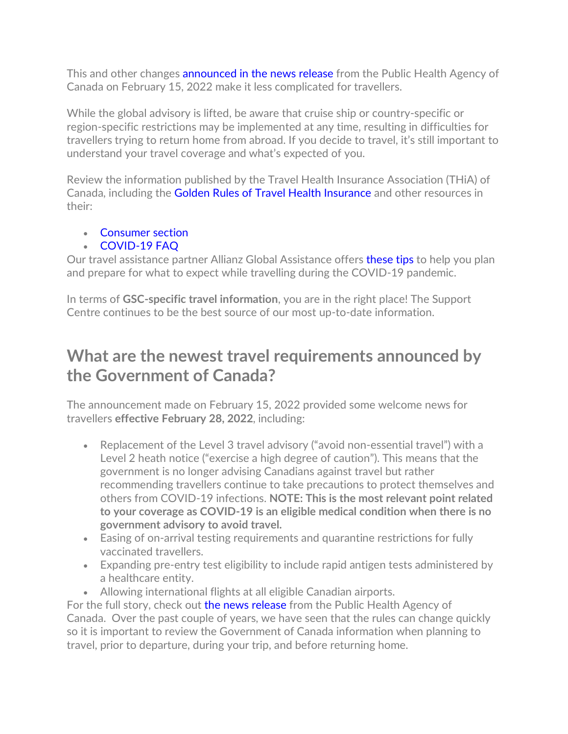This and other changes **[announced in the news release](https://www.canada.ca/en/public-health/news/2022/02/government-of-canada-lightens-border-measures-as-part-of-transition-of-the-pandemic-response.html)** from the Public Health Agency of Canada on February 15, 2022 make it less complicated for travellers.

While the global advisory is lifted, be aware that cruise ship or country-specific or region-specific restrictions may be implemented at any time, resulting in difficulties for travellers trying to return home from abroad. If you decide to travel, it's still important to understand your travel coverage and what's expected of you.

Review the information published by the Travel Health Insurance Association (THiA) of Canada, including the [Golden Rules of Travel Health Insurance](https://www.thiaonline.com/consumer-resources.html) and other resources in their:

#### • [Consumer section](https://www.thiaonline.com/consumers_corner.html)

#### • [COVID-19 FAQ](https://www.thiaonline.com/COVID19_FAQ.html)

Our travel assistance partner Allianz Global Assistance offers [these tips](https://www.allianz-assistance.ca/covid-19/covid-19-travelling-planning-resources.html) to help you plan and prepare for what to expect while travelling during the COVID-19 pandemic.

In terms of **GSC-specific travel information**, you are in the right place! The Support Centre continues to be the best source of our most up-to-date information.

## **What are the newest travel requirements announced by the Government of Canada?**

The announcement made on February 15, 2022 provided some welcome news for travellers **effective February 28, 2022**, including:

- Replacement of the Level 3 travel advisory ("avoid non-essential travel") with a Level 2 heath notice ("exercise a high degree of caution"). This means that the government is no longer advising Canadians against travel but rather recommending travellers continue to take precautions to protect themselves and others from COVID-19 infections. **NOTE: This is the most relevant point related to your coverage as COVID-19 is an eligible medical condition when there is no government advisory to avoid travel.**
- Easing of on-arrival testing requirements and quarantine restrictions for fully vaccinated travellers.
- Expanding pre-entry test eligibility to include rapid antigen tests administered by a healthcare entity.
- Allowing international flights at all eligible Canadian airports.

For the full story, check out [the news release](https://www.canada.ca/en/public-health/news/2022/02/government-of-canada-lightens-border-measures-as-part-of-transition-of-the-pandemic-response.html) from the Public Health Agency of Canada. Over the past couple of years, we have seen that the rules can change quickly so it is important to review the Government of Canada information when planning to travel, prior to departure, during your trip, and before returning home.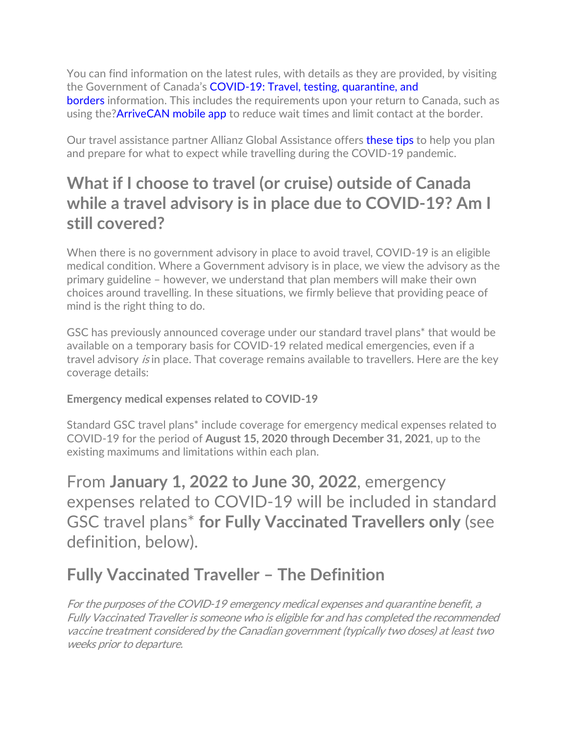You can find information on the latest rules, with details as they are provided, by visiting the Government of Canada's [COVID-19: Travel, testing, quarantine, and](https://travel.gc.ca/travel-covid)  [borders](https://travel.gc.ca/travel-covid) information. This includes the requirements upon your return to Canada, such as using the?**ArriveCAN mobile app** to reduce wait times and limit contact at the border.

Our travel assistance partner Allianz Global Assistance offers [these tips](https://www.allianz-assistance.ca/covid-19/covid-19-travelling-planning-resources.html) to help you plan and prepare for what to expect while travelling during the COVID-19 pandemic.

## **What if I choose to travel (or cruise) outside of Canada while a travel advisory is in place due to COVID-19? Am I still covered?**

When there is no government advisory in place to avoid travel, COVID-19 is an eligible medical condition. Where a Government advisory is in place, we view the advisory as the primary guideline – however, we understand that plan members will make their own choices around travelling. In these situations, we firmly believe that providing peace of mind is the right thing to do.

GSC has previously announced coverage under our standard travel plans\* that would be available on a temporary basis for COVID-19 related medical emergencies, even if a travel advisory *is* in place. That coverage remains available to travellers. Here are the key coverage details:

**Emergency medical expenses related to COVID-19**

Standard GSC travel plans\* include coverage for emergency medical expenses related to COVID-19 for the period of **August 15, 2020 through December 31, 2021**, up to the existing maximums and limitations within each plan.

From **January 1, 2022 to June 30, 2022**, emergency expenses related to COVID-19 will be included in standard GSC travel plans\* **for Fully Vaccinated Travellers only** (see definition, below).

# **Fully Vaccinated Traveller – The Definition**

For the purposes of the COVID-19 emergency medical expenses and quarantine benefit, a Fully Vaccinated Traveller is someone who is eligible for and has completed the recommended vaccine treatment considered by the Canadian government (typically two doses) at least two weeks prior to departure.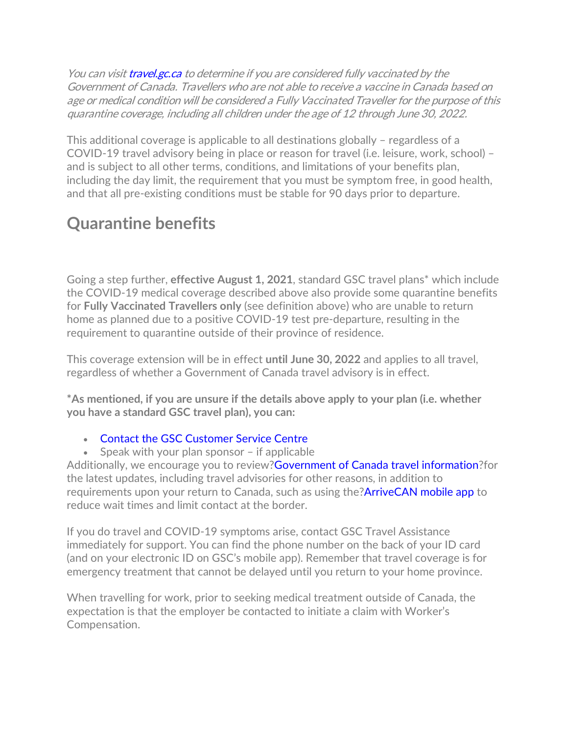You can visit **[travel.gc.ca](https://travel.gc.ca/travel-covid/travel-restrictions/covid-vaccinated-travellers-entering-canada)** to determine if you are considered fully vaccinated by the Government of Canada. Travellers who are not able to receive a vaccine in Canada based on age or medical condition will be considered a Fully Vaccinated Traveller for the purpose of this quarantine coverage, including all children under the age of 12 through June 30, 2022.

This additional coverage is applicable to all destinations globally – regardless of a COVID-19 travel advisory being in place or reason for travel (i.e. leisure, work, school) – and is subject to all other terms, conditions, and limitations of your benefits plan, including the day limit, the requirement that you must be symptom free, in good health, and that all pre-existing conditions must be stable for 90 days prior to departure.

## **Quarantine benefits**

Going a step further, **effective August 1, 2021**, standard GSC travel plans\* which include the COVID-19 medical coverage described above also provide some quarantine benefits for **Fully Vaccinated Travellers only** (see definition above) who are unable to return home as planned due to a positive COVID-19 test pre-departure, resulting in the requirement to quarantine outside of their province of residence.

This coverage extension will be in effect **until June 30, 2022** and applies to all travel, regardless of whether a Government of Canada travel advisory is in effect.

**\*As mentioned, if you are unsure if the details above apply to your plan (i.e. whether you have a standard GSC travel plan), you can:**

• [Contact the GSC Customer Service Centre](https://onlineservices.greenshield.ca/CLICOnlineServices/Inquiry/UserInquiry.aspx?inquiry=1&lang=en-CA)

• Speak with your plan sponsor – if applicable

Additionally, we encourage you to review?Government [of Canada travel information?](https://travel.gc.ca/)for the latest updates, including travel advisories for other reasons, in addition to requirements upon your return to Canada, such as using the?**ArriveCAN mobile app** to reduce wait times and limit contact at the border.

If you do travel and COVID-19 symptoms arise, contact GSC Travel Assistance immediately for support. You can find the phone number on the back of your ID card (and on your electronic ID on GSC's mobile app). Remember that travel coverage is for emergency treatment that cannot be delayed until you return to your home province.

When travelling for work, prior to seeking medical treatment outside of Canada, the expectation is that the employer be contacted to initiate a claim with Worker's Compensation.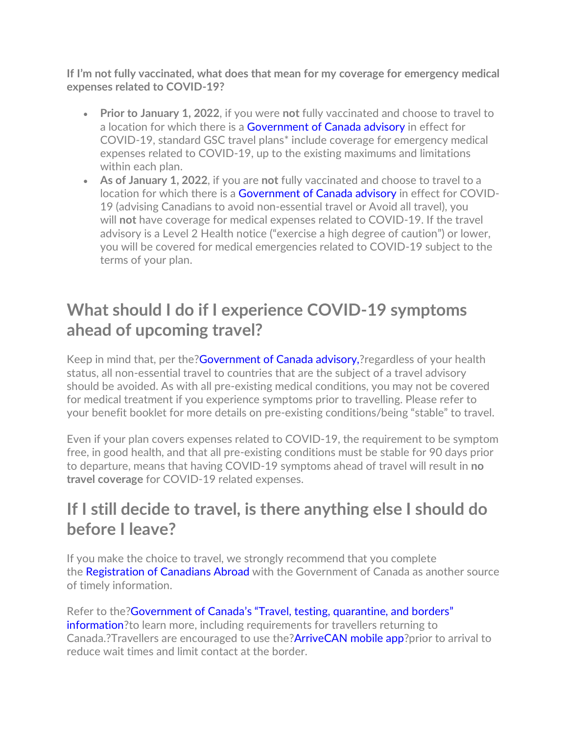**If I'm not fully vaccinated, what does that mean for my coverage for emergency medical expenses related to COVID-19?**

- **Prior to January 1, 2022**, if you were **not** fully vaccinated and choose to travel to a location for which there is a [Government of Canada advisory](https://travel.gc.ca/travelling/advisories) in effect for COVID-19, standard GSC travel plans\* include coverage for emergency medical expenses related to COVID-19, up to the existing maximums and limitations within each plan.
- **As of January 1, 2022**, if you are **not** fully vaccinated and choose to travel to a location for which there is a [Government of Canada advisory](https://travel.gc.ca/travelling/advisories) in effect for COVID-19 (advising Canadians to avoid non-essential travel or Avoid all travel), you will **not** have coverage for medical expenses related to COVID-19. If the travel advisory is a Level 2 Health notice ("exercise a high degree of caution") or lower, you will be covered for medical emergencies related to COVID-19 subject to the terms of your plan.

## **What should I do if I experience COVID-19 symptoms ahead of upcoming travel?**

Keep in mind that, per the[?Government of Canada advisory,?](https://travel.gc.ca/travelling/advisories)regardless of your health status, all non-essential travel to countries that are the subject of a travel advisory should be avoided. As with all pre-existing medical conditions, you may not be covered for medical treatment if you experience symptoms prior to travelling. Please refer to your benefit booklet for more details on pre-existing conditions/being "stable" to travel.

Even if your plan covers expenses related to COVID-19, the requirement to be symptom free, in good health, and that all pre-existing conditions must be stable for 90 days prior to departure, means that having COVID-19 symptoms ahead of travel will result in **no travel coverage** for COVID-19 related expenses.

## **If I still decide to travel, is there anything else I should do before I leave?**

If you make the choice to travel, we strongly recommend that you complete the [Registration of Canadians Abroad](https://travel.gc.ca/travelling/registration) with the Government of Canada as another source of timely information.

Refer to the[?Government of Canada's "Travel, testing, quarantine, and borders"](https://www.canada.ca/en/public-health/services/diseases/2019-novel-coronavirus-infection/latest-travel-health-advice.html)  [information?](https://www.canada.ca/en/public-health/services/diseases/2019-novel-coronavirus-infection/latest-travel-health-advice.html)to learn more, including requirements for travellers returning to Canada.?Travellers are encouraged to use the?ArriveCAN [mobile app?](https://www.canada.ca/en/public-health/services/diseases/coronavirus-disease-covid-19/arrivecan.html)prior to arrival to reduce wait times and limit contact at the border.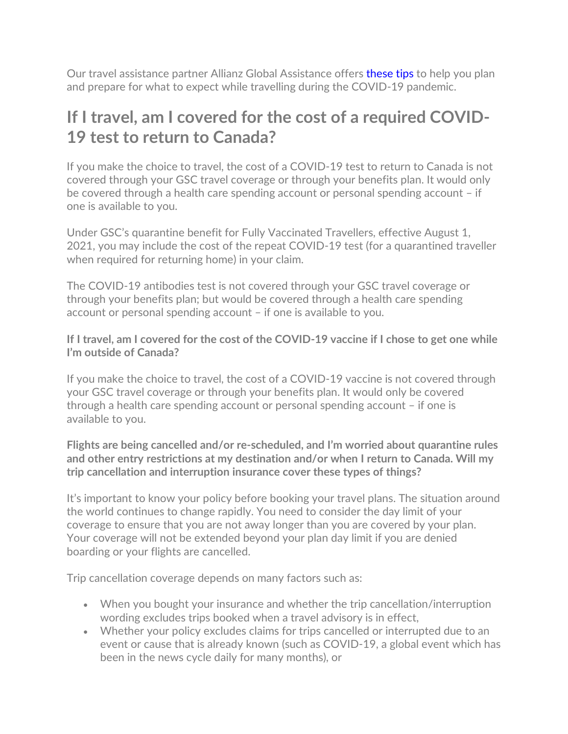Our travel assistance partner Allianz Global Assistance offers [these tips](https://www.allianz-assistance.ca/covid-19/covid-19-travelling-planning-resources.html) to help you plan and prepare for what to expect while travelling during the COVID-19 pandemic.

## **If I travel, am I covered for the cost of a required COVID-19 test to return to Canada?**

If you make the choice to travel, the cost of a COVID-19 test to return to Canada is not covered through your GSC travel coverage or through your benefits plan. It would only be covered through a health care spending account or personal spending account – if one is available to you.

Under GSC's quarantine benefit for Fully Vaccinated Travellers, effective August 1, 2021, you may include the cost of the repeat COVID-19 test (for a quarantined traveller when required for returning home) in your claim.

The COVID-19 antibodies test is not covered through your GSC travel coverage or through your benefits plan; but would be covered through a health care spending account or personal spending account – if one is available to you.

**If I travel, am I covered for the cost of the COVID-19 vaccine if I chose to get one while I'm outside of Canada?**

If you make the choice to travel, the cost of a COVID-19 vaccine is not covered through your GSC travel coverage or through your benefits plan. It would only be covered through a health care spending account or personal spending account – if one is available to you.

**Flights are being cancelled and/or re-scheduled, and I'm worried about quarantine rules and other entry restrictions at my destination and/or when I return to Canada. Will my trip cancellation and interruption insurance cover these types of things?**

It's important to know your policy before booking your travel plans. The situation around the world continues to change rapidly. You need to consider the day limit of your coverage to ensure that you are not away longer than you are covered by your plan. Your coverage will not be extended beyond your plan day limit if you are denied boarding or your flights are cancelled.

Trip cancellation coverage depends on many factors such as:

- When you bought your insurance and whether the trip cancellation/interruption wording excludes trips booked when a travel advisory is in effect,
- Whether your policy excludes claims for trips cancelled or interrupted due to an event or cause that is already known (such as COVID-19, a global event which has been in the news cycle daily for many months), or